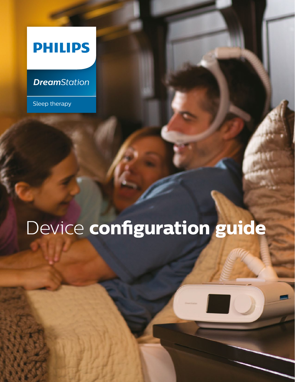## **PHILIPS**

## *DreamStation*

Sleep therapy

## Device **configuration guide**